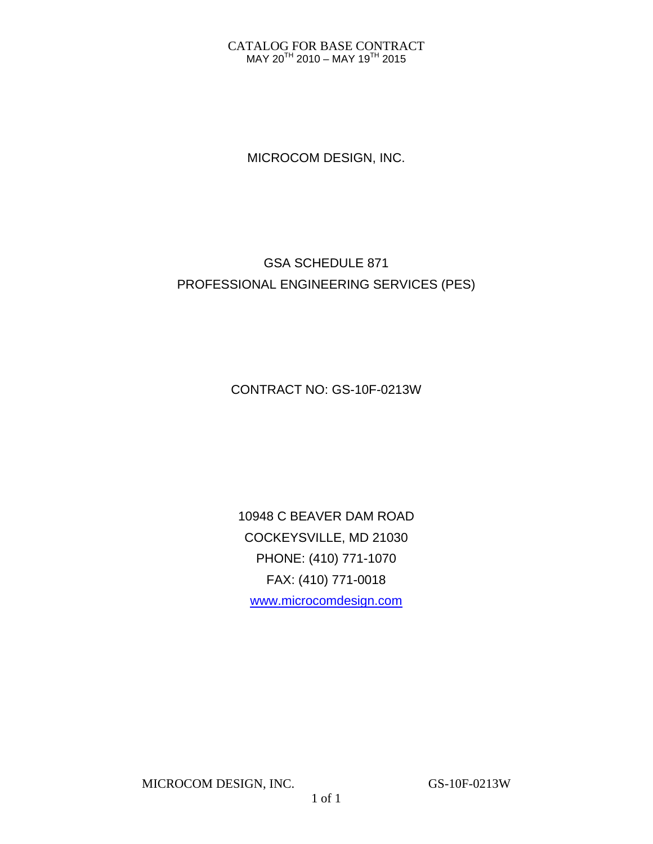#### CATALOG FOR BASE CONTRACT MAY 20TH 2010 – MAY 19TH 2015

MICROCOM DESIGN, INC.

# GSA SCHEDULE 871 PROFESSIONAL ENGINEERING SERVICES (PES)

CONTRACT NO: GS-10F-0213W

10948 C BEAVER DAM ROAD COCKEYSVILLE, MD 21030 PHONE: (410) 771-1070 FAX: (410) 771-0018 www.microcomdesign.com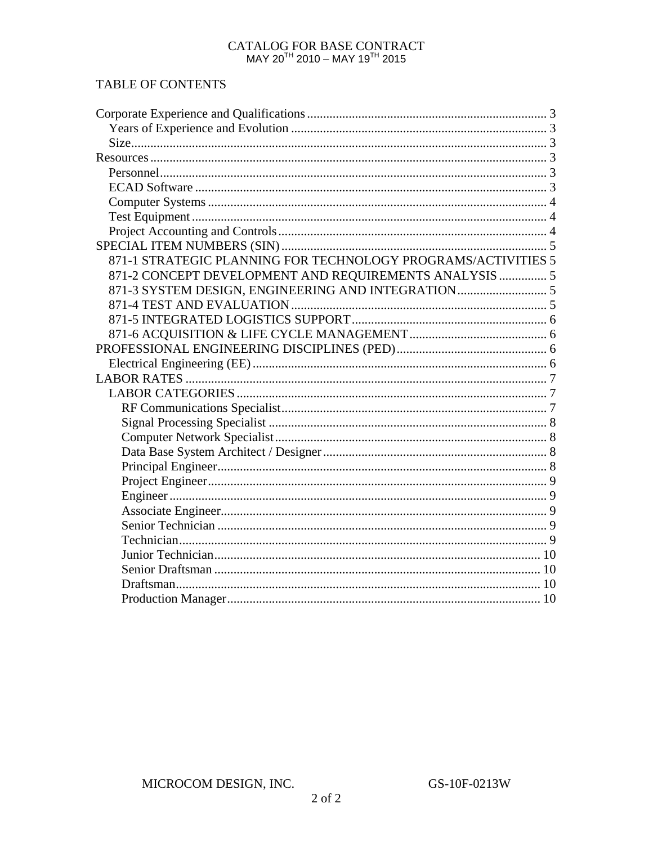# CATALOG FOR BASE CONTRACT MAY 20<sup>TH</sup> 2010 – MAY 19<sup>TH</sup> 2015

# TABLE OF CONTENTS

| 871-1 STRATEGIC PLANNING FOR TECHNOLOGY PROGRAMS/ACTIVITIES 5 |  |
|---------------------------------------------------------------|--|
| 871-2 CONCEPT DEVELOPMENT AND REQUIREMENTS ANALYSIS  5        |  |
| 871-3 SYSTEM DESIGN, ENGINEERING AND INTEGRATION 5            |  |
|                                                               |  |
|                                                               |  |
|                                                               |  |
|                                                               |  |
|                                                               |  |
|                                                               |  |
|                                                               |  |
|                                                               |  |
|                                                               |  |
|                                                               |  |
|                                                               |  |
|                                                               |  |
|                                                               |  |
|                                                               |  |
|                                                               |  |
|                                                               |  |
|                                                               |  |
|                                                               |  |
|                                                               |  |
|                                                               |  |
|                                                               |  |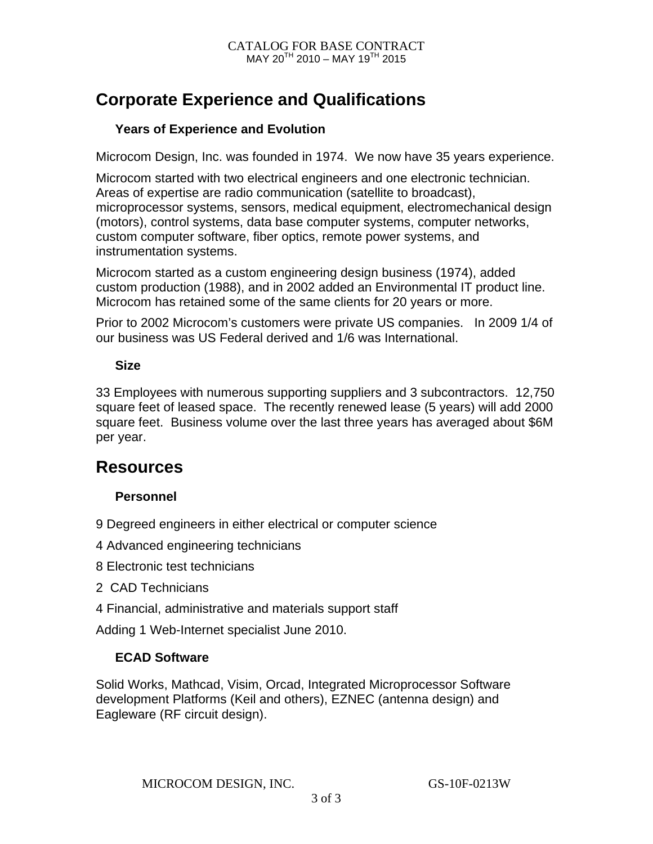# **Corporate Experience and Qualifications**

### **Years of Experience and Evolution**

Microcom Design, Inc. was founded in 1974. We now have 35 years experience.

Microcom started with two electrical engineers and one electronic technician. Areas of expertise are radio communication (satellite to broadcast), microprocessor systems, sensors, medical equipment, electromechanical design (motors), control systems, data base computer systems, computer networks, custom computer software, fiber optics, remote power systems, and instrumentation systems.

Microcom started as a custom engineering design business (1974), added custom production (1988), and in 2002 added an Environmental IT product line. Microcom has retained some of the same clients for 20 years or more.

Prior to 2002 Microcom's customers were private US companies. In 2009 1/4 of our business was US Federal derived and 1/6 was International.

### **Size**

33 Employees with numerous supporting suppliers and 3 subcontractors. 12,750 square feet of leased space. The recently renewed lease (5 years) will add 2000 square feet. Business volume over the last three years has averaged about \$6M per year.

# **Resources**

### **Personnel**

- 9 Degreed engineers in either electrical or computer science
- 4 Advanced engineering technicians
- 8 Electronic test technicians
- 2 CAD Technicians
- 4 Financial, administrative and materials support staff

Adding 1 Web-Internet specialist June 2010.

### **ECAD Software**

Solid Works, Mathcad, Visim, Orcad, Integrated Microprocessor Software development Platforms (Keil and others), EZNEC (antenna design) and Eagleware (RF circuit design).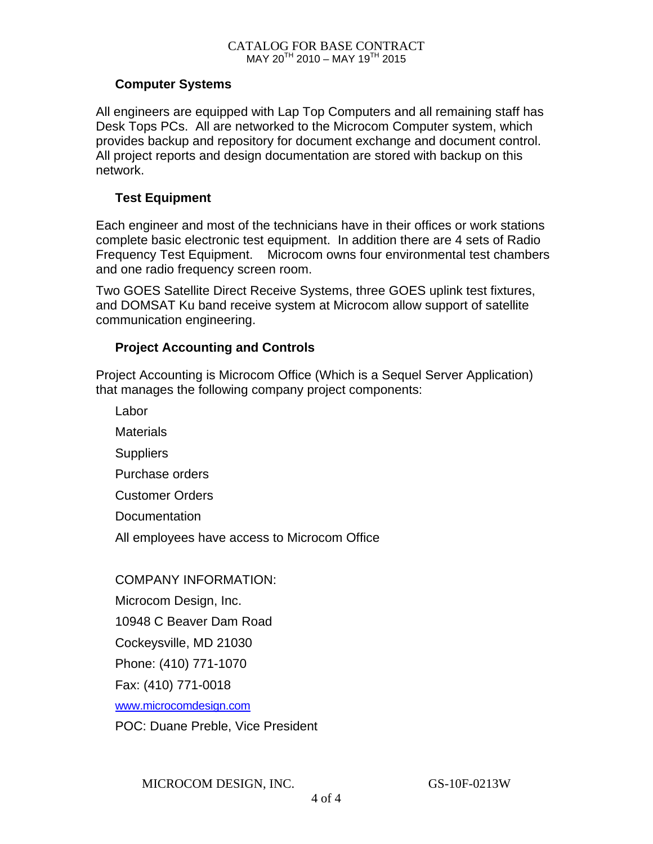#### **Computer Systems**

All engineers are equipped with Lap Top Computers and all remaining staff has Desk Tops PCs. All are networked to the Microcom Computer system, which provides backup and repository for document exchange and document control. All project reports and design documentation are stored with backup on this network.

#### **Test Equipment**

Each engineer and most of the technicians have in their offices or work stations complete basic electronic test equipment. In addition there are 4 sets of Radio Frequency Test Equipment. Microcom owns four environmental test chambers and one radio frequency screen room.

Two GOES Satellite Direct Receive Systems, three GOES uplink test fixtures, and DOMSAT Ku band receive system at Microcom allow support of satellite communication engineering.

### **Project Accounting and Controls**

Project Accounting is Microcom Office (Which is a Sequel Server Application) that manages the following company project components:

Labor **Materials Suppliers** Purchase orders Customer Orders **Documentation** All employees have access to Microcom Office

COMPANY INFORMATION: Microcom Design, Inc. 10948 C Beaver Dam Road Cockeysville, MD 21030 Phone: (410) 771-1070 Fax: (410) 771-0018 www.microcomdesign.com POC: Duane Preble, Vice President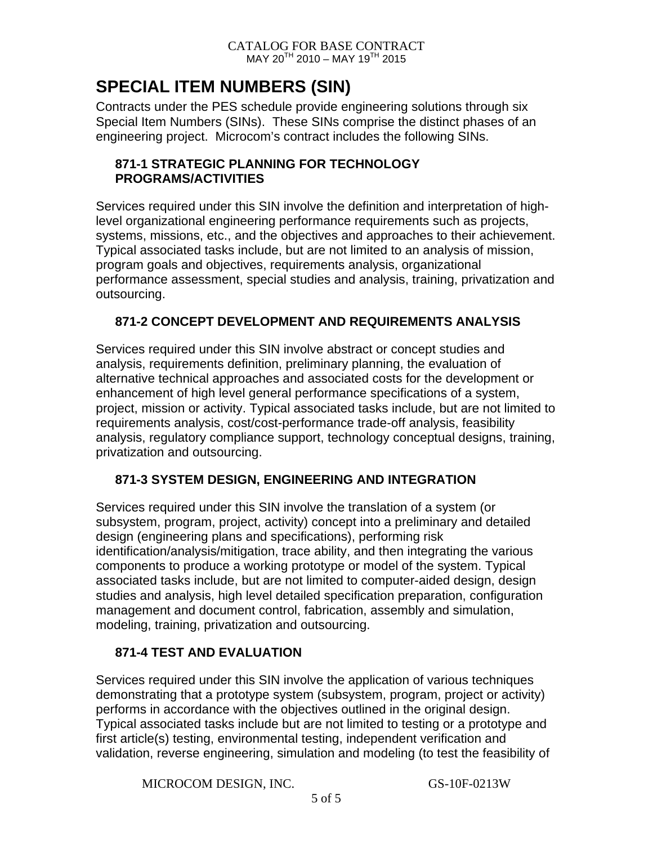# **SPECIAL ITEM NUMBERS (SIN)**

Contracts under the PES schedule provide engineering solutions through six Special Item Numbers (SINs). These SINs comprise the distinct phases of an engineering project. Microcom's contract includes the following SINs.

### **871-1 STRATEGIC PLANNING FOR TECHNOLOGY PROGRAMS/ACTIVITIES**

Services required under this SIN involve the definition and interpretation of highlevel organizational engineering performance requirements such as projects, systems, missions, etc., and the objectives and approaches to their achievement. Typical associated tasks include, but are not limited to an analysis of mission, program goals and objectives, requirements analysis, organizational performance assessment, special studies and analysis, training, privatization and outsourcing.

### **871-2 CONCEPT DEVELOPMENT AND REQUIREMENTS ANALYSIS**

Services required under this SIN involve abstract or concept studies and analysis, requirements definition, preliminary planning, the evaluation of alternative technical approaches and associated costs for the development or enhancement of high level general performance specifications of a system, project, mission or activity. Typical associated tasks include, but are not limited to requirements analysis, cost/cost-performance trade-off analysis, feasibility analysis, regulatory compliance support, technology conceptual designs, training, privatization and outsourcing.

# **871-3 SYSTEM DESIGN, ENGINEERING AND INTEGRATION**

Services required under this SIN involve the translation of a system (or subsystem, program, project, activity) concept into a preliminary and detailed design (engineering plans and specifications), performing risk identification/analysis/mitigation, trace ability, and then integrating the various components to produce a working prototype or model of the system. Typical associated tasks include, but are not limited to computer-aided design, design studies and analysis, high level detailed specification preparation, configuration management and document control, fabrication, assembly and simulation, modeling, training, privatization and outsourcing.

# **871-4 TEST AND EVALUATION**

Services required under this SIN involve the application of various techniques demonstrating that a prototype system (subsystem, program, project or activity) performs in accordance with the objectives outlined in the original design. Typical associated tasks include but are not limited to testing or a prototype and first article(s) testing, environmental testing, independent verification and validation, reverse engineering, simulation and modeling (to test the feasibility of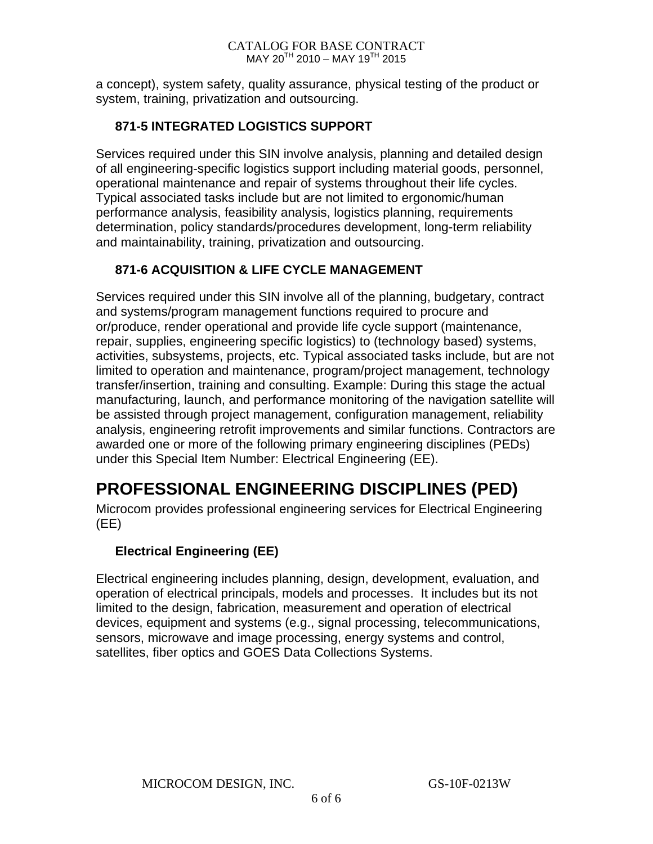#### CATALOG FOR BASE CONTRACT  $MAY 20^{TH} 2010 - MAY 19^{TH} 2015$

a concept), system safety, quality assurance, physical testing of the product or system, training, privatization and outsourcing.

### **871-5 INTEGRATED LOGISTICS SUPPORT**

Services required under this SIN involve analysis, planning and detailed design of all engineering-specific logistics support including material goods, personnel, operational maintenance and repair of systems throughout their life cycles. Typical associated tasks include but are not limited to ergonomic/human performance analysis, feasibility analysis, logistics planning, requirements determination, policy standards/procedures development, long-term reliability and maintainability, training, privatization and outsourcing.

### **871-6 ACQUISITION & LIFE CYCLE MANAGEMENT**

Services required under this SIN involve all of the planning, budgetary, contract and systems/program management functions required to procure and or/produce, render operational and provide life cycle support (maintenance, repair, supplies, engineering specific logistics) to (technology based) systems, activities, subsystems, projects, etc. Typical associated tasks include, but are not limited to operation and maintenance, program/project management, technology transfer/insertion, training and consulting. Example: During this stage the actual manufacturing, launch, and performance monitoring of the navigation satellite will be assisted through project management, configuration management, reliability analysis, engineering retrofit improvements and similar functions. Contractors are awarded one or more of the following primary engineering disciplines (PEDs) under this Special Item Number: Electrical Engineering (EE).

# **PROFESSIONAL ENGINEERING DISCIPLINES (PED)**

Microcom provides professional engineering services for Electrical Engineering (EE)

# **Electrical Engineering (EE)**

Electrical engineering includes planning, design, development, evaluation, and operation of electrical principals, models and processes. It includes but its not limited to the design, fabrication, measurement and operation of electrical devices, equipment and systems (e.g., signal processing, telecommunications, sensors, microwave and image processing, energy systems and control, satellites, fiber optics and GOES Data Collections Systems.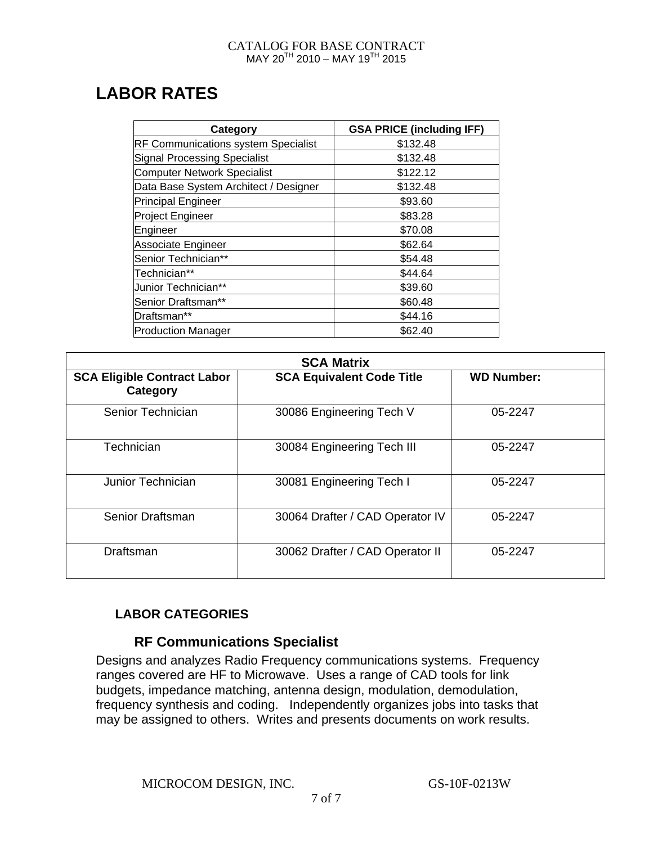#### CATALOG FOR BASE CONTRACT MAY 20<sup>TH</sup> 2010 – MAY 19<sup>TH</sup> 2015

# **LABOR RATES**

| Category                                   | <b>GSA PRICE (including IFF)</b> |
|--------------------------------------------|----------------------------------|
| <b>RF Communications system Specialist</b> | \$132.48                         |
| Signal Processing Specialist               | \$132.48                         |
| <b>Computer Network Specialist</b>         | \$122.12                         |
| Data Base System Architect / Designer      | \$132.48                         |
| Principal Engineer                         | \$93.60                          |
| <b>Project Engineer</b>                    | \$83.28                          |
| Engineer                                   | \$70.08                          |
| Associate Engineer                         | \$62.64                          |
| Senior Technician**                        | \$54.48                          |
| Technician**                               | \$44.64                          |
| Junior Technician**                        | \$39.60                          |
| Senior Draftsman**                         | \$60.48                          |
| Draftsman**                                | \$44.16                          |
| <b>Production Manager</b>                  | \$62.40                          |

| <b>SCA Matrix</b>                              |                                  |                   |  |
|------------------------------------------------|----------------------------------|-------------------|--|
| <b>SCA Eligible Contract Labor</b><br>Category | <b>SCA Equivalent Code Title</b> | <b>WD Number:</b> |  |
| Senior Technician                              | 30086 Engineering Tech V         | 05-2247           |  |
| Technician                                     | 30084 Engineering Tech III       | 05-2247           |  |
| Junior Technician                              | 30081 Engineering Tech I         | 05-2247           |  |
| Senior Draftsman                               | 30064 Drafter / CAD Operator IV  | 05-2247           |  |
| Draftsman                                      | 30062 Drafter / CAD Operator II  | 05-2247           |  |

# **LABOR CATEGORIES**

### **RF Communications Specialist**

Designs and analyzes Radio Frequency communications systems. Frequency ranges covered are HF to Microwave. Uses a range of CAD tools for link budgets, impedance matching, antenna design, modulation, demodulation, frequency synthesis and coding. Independently organizes jobs into tasks that may be assigned to others. Writes and presents documents on work results.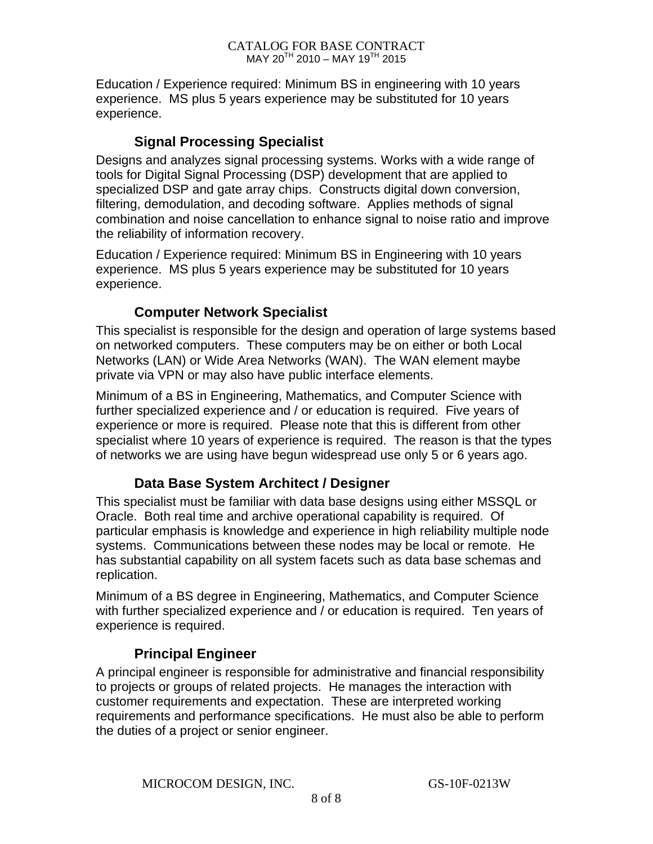Education / Experience required: Minimum BS in engineering with 10 years experience. MS plus 5 years experience may be substituted for 10 years experience.

### **Signal Processing Specialist**

Designs and analyzes signal processing systems. Works with a wide range of tools for Digital Signal Processing (DSP) development that are applied to specialized DSP and gate array chips. Constructs digital down conversion, filtering, demodulation, and decoding software. Applies methods of signal combination and noise cancellation to enhance signal to noise ratio and improve the reliability of information recovery.

Education / Experience required: Minimum BS in Engineering with 10 years experience. MS plus 5 years experience may be substituted for 10 years experience.

# **Computer Network Specialist**

This specialist is responsible for the design and operation of large systems based on networked computers. These computers may be on either or both Local Networks (LAN) or Wide Area Networks (WAN). The WAN element maybe private via VPN or may also have public interface elements.

Minimum of a BS in Engineering, Mathematics, and Computer Science with further specialized experience and / or education is required. Five years of experience or more is required. Please note that this is different from other specialist where 10 years of experience is required. The reason is that the types of networks we are using have begun widespread use only 5 or 6 years ago.

# **Data Base System Architect / Designer**

This specialist must be familiar with data base designs using either MSSQL or Oracle. Both real time and archive operational capability is required. Of particular emphasis is knowledge and experience in high reliability multiple node systems. Communications between these nodes may be local or remote. He has substantial capability on all system facets such as data base schemas and replication.

Minimum of a BS degree in Engineering, Mathematics, and Computer Science with further specialized experience and / or education is required. Ten years of experience is required.

# **Principal Engineer**

A principal engineer is responsible for administrative and financial responsibility to projects or groups of related projects. He manages the interaction with customer requirements and expectation. These are interpreted working requirements and performance specifications. He must also be able to perform the duties of a project or senior engineer.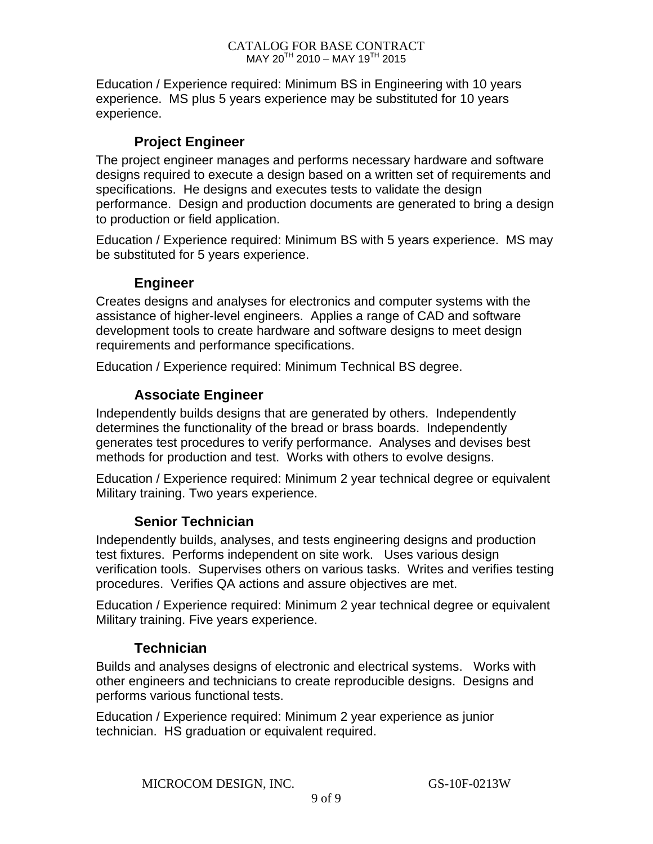Education / Experience required: Minimum BS in Engineering with 10 years experience. MS plus 5 years experience may be substituted for 10 years experience.

### **Project Engineer**

The project engineer manages and performs necessary hardware and software designs required to execute a design based on a written set of requirements and specifications. He designs and executes tests to validate the design performance. Design and production documents are generated to bring a design to production or field application.

Education / Experience required: Minimum BS with 5 years experience. MS may be substituted for 5 years experience.

# **Engineer**

Creates designs and analyses for electronics and computer systems with the assistance of higher-level engineers. Applies a range of CAD and software development tools to create hardware and software designs to meet design requirements and performance specifications.

Education / Experience required: Minimum Technical BS degree.

# **Associate Engineer**

Independently builds designs that are generated by others. Independently determines the functionality of the bread or brass boards. Independently generates test procedures to verify performance. Analyses and devises best methods for production and test. Works with others to evolve designs.

Education / Experience required: Minimum 2 year technical degree or equivalent Military training. Two years experience.

# **Senior Technician**

Independently builds, analyses, and tests engineering designs and production test fixtures. Performs independent on site work. Uses various design verification tools. Supervises others on various tasks. Writes and verifies testing procedures. Verifies QA actions and assure objectives are met.

Education / Experience required: Minimum 2 year technical degree or equivalent Military training. Five years experience.

# **Technician**

Builds and analyses designs of electronic and electrical systems. Works with other engineers and technicians to create reproducible designs. Designs and performs various functional tests.

Education / Experience required: Minimum 2 year experience as junior technician. HS graduation or equivalent required.